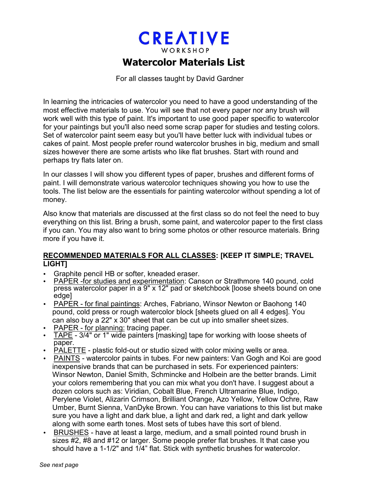## **CREATIVE** WORKSHOP

## **Watercolor Materials List**

For all classes taught by David Gardner

In learning the intricacies of watercolor you need to have a good understanding of the most effective materials to use. You will see that not every paper nor any brush will work well with this type of paint. It's important to use good paper specific to watercolor for your paintings but you'll also need some scrap paper for studies and testing colors. Set of watercolor paint seem easy but you'll have better luck with individual tubes or cakes of paint. Most people prefer round watercolor brushes in big, medium and small sizes however there are some artists who like flat brushes. Start with round and perhaps try flats later on.

In our classes I will show you different types of paper, brushes and different forms of paint. I will demonstrate various watercolor techniques showing you how to use the tools. The list below are the essentials for painting watercolor without spending a lot of money.

Also know that materials are discussed at the first class so do not feel the need to buy everything on this list. Bring a brush, some paint, and watercolor paper to the first class if you can. You may also want to bring some photos or other resource materials. Bring more if you have it.

## **RECOMMENDED MATERIALS FOR ALL CLASSES: [KEEP IT SIMPLE; TRAVEL LIGHT]**

- Graphite pencil HB or softer, kneaded eraser.
- PAPER -for studies and experimentation: Canson or Strathmore 140 pound, cold press watercolor paper in a 9" x 12" pad or sketchbook [loose sheets bound on one edge]
- PAPER for final paintings: Arches, Fabriano, Winsor Newton or Baohong 140 pound, cold press or rough watercolor block [sheets glued on all 4 edges]. You can also buy a 22" x 30" sheet that can be cut up into smaller sheet sizes.
- PAPER for planning: tracing paper.
- TAPE 3/4" or 1" wide painters [masking] tape for working with loose sheets of paper.
- PALETTE plastic fold-out or studio sized with color mixing wells or area.
- PAINTS watercolor paints in tubes. For new painters: Van Gogh and Koi are good inexpensive brands that can be purchased in sets. For experienced painters: Winsor Newton, Daniel Smith, Schmincke and Holbein are the better brands. Limit your colors remembering that you can mix what you don't have. I suggest about a dozen colors such as: Viridian, Cobalt Blue, French Ultramarine Blue, Indigo, Perylene Violet, Alizarin Crimson, Brilliant Orange, Azo Yellow, Yellow Ochre, Raw Umber, Burnt Sienna, VanDyke Brown. You can have variations to this list but make sure you have a light and dark blue, a light and dark red, a light and dark yellow along with some earth tones. Most sets of tubes have this sort of blend.
- BRUSHES have at least a large, medium, and a small pointed round brush in sizes #2, #8 and #12 or larger. Some people prefer flat brushes. It that case you should have a 1-1/2" and 1/4" flat. Stick with synthetic brushes for watercolor.